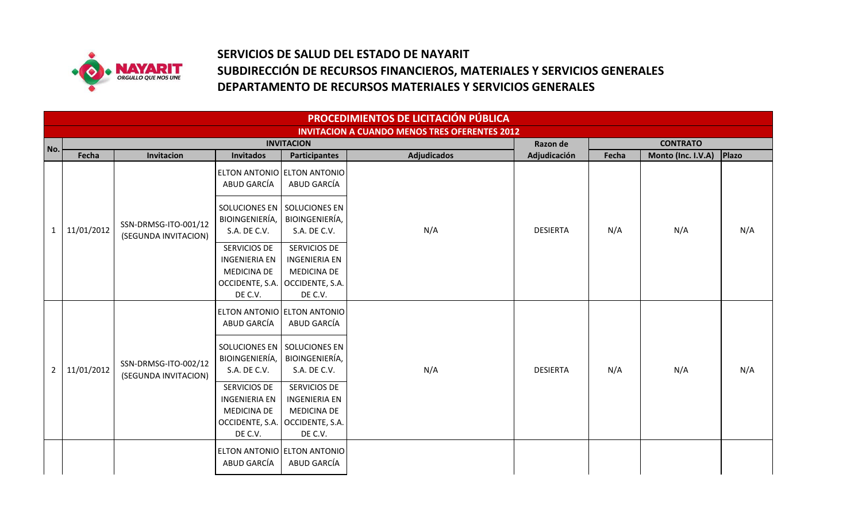

## **SERVICIOS DE SALUD DEL ESTADO DE NAYARIT SUBDIRECCIÓN DE RECURSOS FINANCIEROS, MATERIALES Y SERVICIOS GENERALES DEPARTAMENTO DE RECURSOS MATERIALES Y SERVICIOS GENERALES**

|                | PROCEDIMIENTOS DE LICITACIÓN PÚBLICA |                                              |                                                                                          |                                                                                                            |                                                      |                          |       |                                       |       |  |  |  |
|----------------|--------------------------------------|----------------------------------------------|------------------------------------------------------------------------------------------|------------------------------------------------------------------------------------------------------------|------------------------------------------------------|--------------------------|-------|---------------------------------------|-------|--|--|--|
|                |                                      |                                              |                                                                                          |                                                                                                            | <b>INVITACION A CUANDO MENOS TRES OFERENTES 2012</b> |                          |       |                                       |       |  |  |  |
| No.            | Fecha                                | Invitacion                                   | <b>Invitados</b>                                                                         | <b>INVITACION</b><br><b>Participantes</b>                                                                  | <b>Adjudicados</b>                                   | Razon de<br>Adjudicación | Fecha | <b>CONTRATO</b><br>Monto (Inc. I.V.A) | Plazo |  |  |  |
|                |                                      |                                              | ABUD GARCÍA                                                                              | ELTON ANTONIO ELTON ANTONIO<br>ABUD GARCÍA                                                                 |                                                      | <b>DESIERTA</b>          |       | N/A                                   |       |  |  |  |
| 1              | 11/01/2012                           | SSN-DRMSG-ITO-001/12<br>(SEGUNDA INVITACION) | BIOINGENIERÍA,<br>S.A. DE C.V.                                                           | SOLUCIONES EN SOLUCIONES EN<br>BIOINGENIERÍA,<br>S.A. DE C.V.                                              | N/A                                                  |                          | N/A   |                                       | N/A   |  |  |  |
|                |                                      |                                              | SERVICIOS DE<br><b>INGENIERIA EN</b><br><b>MEDICINA DE</b><br>OCCIDENTE, S.A.<br>DE C.V. | SERVICIOS DE<br><b>INGENIERIA EN</b><br><b>MEDICINA DE</b><br>OCCIDENTE, S.A.<br>DE C.V.                   |                                                      |                          |       |                                       |       |  |  |  |
|                |                                      | SSN-DRMSG-ITO-002/12<br>(SEGUNDA INVITACION) | ABUD GARCÍA                                                                              | ELTON ANTONIO ELTON ANTONIO<br>ABUD GARCÍA                                                                 | N/A                                                  | <b>DESIERTA</b>          | N/A   | N/A                                   |       |  |  |  |
| $\overline{2}$ | 11/01/2012                           |                                              | BIOINGENIERÍA,<br>S.A. DE C.V.                                                           | SOLUCIONES EN SOLUCIONES EN<br>BIOINGENIERÍA,<br>S.A. DE C.V.                                              |                                                      |                          |       |                                       | N/A   |  |  |  |
|                |                                      |                                              | SERVICIOS DE<br><b>INGENIERIA EN</b><br><b>MEDICINA DE</b><br>DE C.V.                    | SERVICIOS DE<br><b>INGENIERIA EN</b><br><b>MEDICINA DE</b><br>OCCIDENTE, S.A.   OCCIDENTE, S.A.<br>DE C.V. |                                                      |                          |       |                                       |       |  |  |  |
|                |                                      |                                              | ABUD GARCÍA                                                                              | ELTON ANTONIO ELTON ANTONIO<br>ABUD GARCÍA                                                                 |                                                      |                          |       |                                       |       |  |  |  |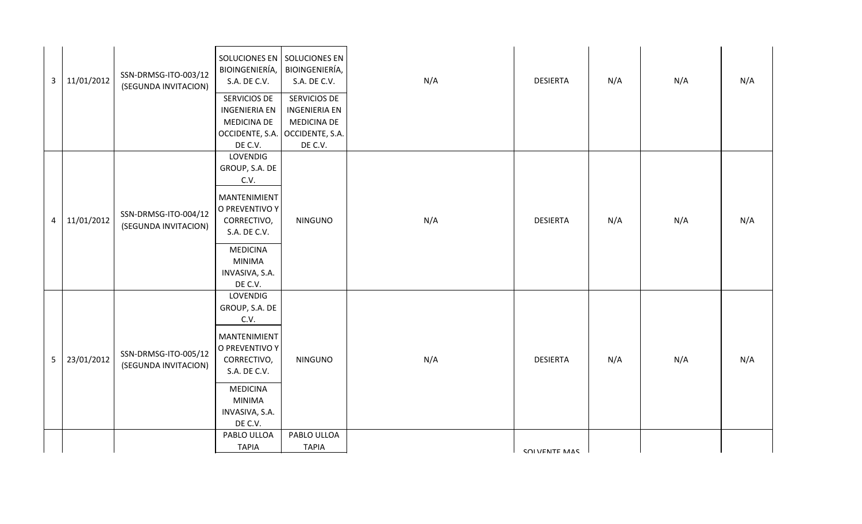| $\mathbf{3}$    | 11/01/2012 | SSN-DRMSG-ITO-003/12<br>(SEGUNDA INVITACION) | SOLUCIONES EN SOLUCIONES EN<br>BIOINGENIERÍA,<br>S.A. DE C.V.<br>SERVICIOS DE<br><b>INGENIERIA EN</b><br>MEDICINA DE<br>OCCIDENTE, S.A.<br>DE C.V.                   | BIOINGENIERÍA,<br>S.A. DE C.V.<br>SERVICIOS DE<br><b>INGENIERIA EN</b><br><b>MEDICINA DE</b><br>OCCIDENTE, S.A.<br>DE C.V. | N/A | <b>DESIERTA</b> | N/A | N/A | N/A |
|-----------------|------------|----------------------------------------------|----------------------------------------------------------------------------------------------------------------------------------------------------------------------|----------------------------------------------------------------------------------------------------------------------------|-----|-----------------|-----|-----|-----|
| $\overline{4}$  | 11/01/2012 | SSN-DRMSG-ITO-004/12<br>(SEGUNDA INVITACION) | LOVENDIG<br>GROUP, S.A. DE<br>C.V.<br>MANTENIMIENT<br>O PREVENTIVO Y<br>CORRECTIVO,<br>S.A. DE C.V.<br><b>MEDICINA</b><br><b>MINIMA</b><br>INVASIVA, S.A.<br>DE C.V. | <b>NINGUNO</b>                                                                                                             | N/A | <b>DESIERTA</b> | N/A | N/A | N/A |
| $5\phantom{.0}$ | 23/01/2012 | SSN-DRMSG-ITO-005/12<br>(SEGUNDA INVITACION) | LOVENDIG<br>GROUP, S.A. DE<br>C.V.<br>MANTENIMIENT<br>O PREVENTIVO Y<br>CORRECTIVO,<br>S.A. DE C.V.<br><b>MEDICINA</b><br><b>MINIMA</b><br>INVASIVA, S.A.<br>DE C.V. | <b>NINGUNO</b>                                                                                                             | N/A | <b>DESIERTA</b> | N/A | N/A | N/A |
|                 |            |                                              | PABLO ULLOA<br><b>TAPIA</b>                                                                                                                                          | PABLO ULLOA<br><b>TAPIA</b>                                                                                                |     | COI VENTE MAC   |     |     |     |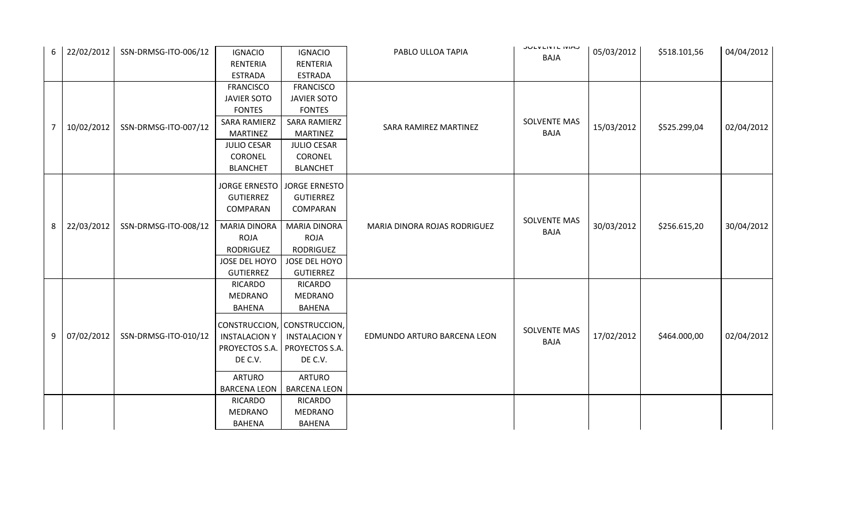|                |            |                      |                      |                               |                              | <b>JULVLIVIL IVIAJ</b> |            |              |            |
|----------------|------------|----------------------|----------------------|-------------------------------|------------------------------|------------------------|------------|--------------|------------|
| 6              | 22/02/2012 | SSN-DRMSG-ITO-006/12 | <b>IGNACIO</b>       | <b>IGNACIO</b>                | PABLO ULLOA TAPIA            | <b>BAJA</b>            | 05/03/2012 | \$518.101,56 | 04/04/2012 |
|                |            |                      | RENTERIA             | RENTERIA                      |                              |                        |            |              |            |
|                |            |                      | <b>ESTRADA</b>       | <b>ESTRADA</b>                |                              |                        |            |              |            |
|                |            |                      | <b>FRANCISCO</b>     | <b>FRANCISCO</b>              |                              |                        |            |              |            |
|                |            |                      | <b>JAVIER SOTO</b>   | <b>JAVIER SOTO</b>            |                              |                        |            |              |            |
|                |            |                      | <b>FONTES</b>        | <b>FONTES</b>                 |                              |                        |            |              |            |
| $\overline{7}$ | 10/02/2012 | SSN-DRMSG-ITO-007/12 | <b>SARA RAMIERZ</b>  | <b>SARA RAMIERZ</b>           | SARA RAMIREZ MARTINEZ        | <b>SOLVENTE MAS</b>    | 15/03/2012 | \$525.299,04 | 02/04/2012 |
|                |            |                      | <b>MARTINEZ</b>      | <b>MARTINEZ</b>               |                              | <b>BAJA</b>            |            |              |            |
|                |            |                      | <b>JULIO CESAR</b>   | <b>JULIO CESAR</b>            |                              |                        |            |              |            |
|                |            |                      | CORONEL              | CORONEL                       |                              |                        |            |              |            |
|                |            |                      | <b>BLANCHET</b>      | <b>BLANCHET</b>               |                              |                        |            |              |            |
|                |            |                      |                      | JORGE ERNESTO   JORGE ERNESTO |                              |                        |            |              |            |
|                |            |                      | <b>GUTIERREZ</b>     | <b>GUTIERREZ</b>              |                              |                        |            |              |            |
|                |            |                      | COMPARAN             | <b>COMPARAN</b>               |                              |                        |            |              |            |
|                |            |                      |                      |                               |                              | <b>SOLVENTE MAS</b>    |            |              |            |
| 8              | 22/03/2012 | SSN-DRMSG-ITO-008/12 | <b>MARIA DINORA</b>  | <b>MARIA DINORA</b>           | MARIA DINORA ROJAS RODRIGUEZ | <b>BAJA</b>            | 30/03/2012 | \$256.615,20 | 30/04/2012 |
|                |            |                      | <b>ROJA</b>          | <b>ROJA</b>                   |                              |                        |            |              |            |
|                |            |                      | RODRIGUEZ            | <b>RODRIGUEZ</b>              |                              |                        |            |              |            |
|                |            |                      | JOSE DEL HOYO        | JOSE DEL HOYO                 |                              |                        |            |              |            |
|                |            |                      | <b>GUTIERREZ</b>     | <b>GUTIERREZ</b>              |                              |                        |            |              |            |
|                |            |                      | RICARDO              | <b>RICARDO</b>                |                              |                        |            |              |            |
|                |            |                      | <b>MEDRANO</b>       | <b>MEDRANO</b>                |                              |                        |            |              |            |
|                |            |                      | BAHENA               | <b>BAHENA</b>                 |                              |                        |            |              |            |
|                |            |                      |                      | CONSTRUCCION, CONSTRUCCION,   |                              |                        |            |              |            |
| 9              | 07/02/2012 | SSN-DRMSG-ITO-010/12 | <b>INSTALACION Y</b> |                               | EDMUNDO ARTURO BARCENA LEON  | <b>SOLVENTE MAS</b>    | 17/02/2012 | \$464.000,00 | 02/04/2012 |
|                |            |                      |                      | <b>INSTALACION Y</b>          |                              | <b>BAJA</b>            |            |              |            |
|                |            |                      | PROYECTOS S.A.       | PROYECTOS S.A.                |                              |                        |            |              |            |
|                |            |                      | DE C.V.              | DE C.V.                       |                              |                        |            |              |            |
|                |            |                      | <b>ARTURO</b>        | <b>ARTURO</b>                 |                              |                        |            |              |            |
|                |            |                      | <b>BARCENA LEON</b>  | <b>BARCENA LEON</b>           |                              |                        |            |              |            |
|                |            |                      | <b>RICARDO</b>       | <b>RICARDO</b>                |                              |                        |            |              |            |
|                |            |                      | <b>MEDRANO</b>       | MEDRANO                       |                              |                        |            |              |            |
|                |            |                      | <b>BAHENA</b>        | <b>BAHENA</b>                 |                              |                        |            |              |            |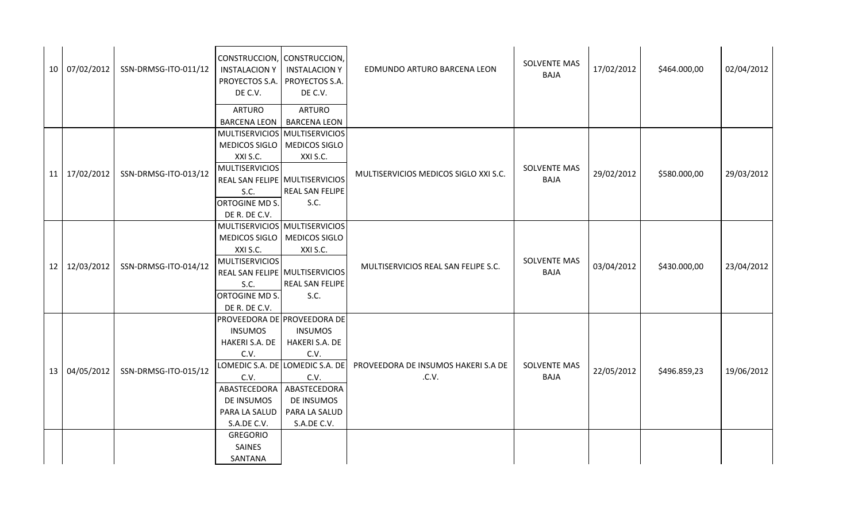|    | 10 07/02/2012 | SSN-DRMSG-ITO-011/12 | CONSTRUCCION, CONSTRUCCION,<br><b>INSTALACION Y</b><br>PROYECTOS S.A.<br>DE C.V. | <b>INSTALACION Y</b><br>PROYECTOS S.A.<br>DE C.V. | EDMUNDO ARTURO BARCENA LEON           | SOLVENTE MAS<br><b>BAJA</b> | 17/02/2012 | \$464.000,00 | 02/04/2012 |
|----|---------------|----------------------|----------------------------------------------------------------------------------|---------------------------------------------------|---------------------------------------|-----------------------------|------------|--------------|------------|
|    |               |                      | <b>ARTURO</b>                                                                    | <b>ARTURO</b>                                     |                                       |                             |            |              |            |
|    |               |                      | <b>BARCENA LEON</b>                                                              | <b>BARCENA LEON</b>                               |                                       |                             |            |              |            |
|    |               |                      | MULTISERVICIOS MULTISERVICIOS                                                    |                                                   |                                       |                             |            |              |            |
|    |               |                      | MEDICOS SIGLO   MEDICOS SIGLO                                                    |                                                   |                                       |                             |            |              |            |
|    |               |                      | XXI S.C.                                                                         | XXI S.C.                                          |                                       | <b>SOLVENTE MAS</b>         |            |              |            |
|    | 11 17/02/2012 | SSN-DRMSG-ITO-013/12 | <b>MULTISERVICIOS</b><br>REAL SAN FELIPE MULTISERVICIOS                          |                                                   | MULTISERVICIOS MEDICOS SIGLO XXI S.C. | <b>BAJA</b>                 | 29/02/2012 | \$580.000,00 | 29/03/2012 |
|    |               |                      | S.C.                                                                             | REAL SAN FELIPE                                   |                                       |                             |            |              |            |
|    |               |                      | ORTOGINE MD S.                                                                   | S.C.                                              |                                       |                             |            |              |            |
|    |               |                      | DE R. DE C.V.                                                                    |                                                   |                                       |                             |            |              |            |
|    |               |                      | MULTISERVICIOS MULTISERVICIOS                                                    |                                                   |                                       |                             |            |              |            |
|    |               |                      | MEDICOS SIGLO   MEDICOS SIGLO                                                    |                                                   |                                       |                             |            |              |            |
|    |               |                      | XXI S.C.                                                                         | XXI S.C.                                          |                                       |                             |            |              |            |
| 12 | 12/03/2012    | SSN-DRMSG-ITO-014/12 | <b>MULTISERVICIOS</b>                                                            |                                                   | MULTISERVICIOS REAL SAN FELIPE S.C.   | <b>SOLVENTE MAS</b>         | 03/04/2012 | \$430.000,00 | 23/04/2012 |
|    |               |                      | REAL SAN FELIPE MULTISERVICIOS                                                   |                                                   |                                       | <b>BAJA</b>                 |            |              |            |
|    |               |                      | S.C.                                                                             | REAL SAN FELIPE                                   |                                       |                             |            |              |            |
|    |               |                      | ORTOGINE MD S.                                                                   | S.C.                                              |                                       |                             |            |              |            |
|    |               |                      | DE R. DE C.V.                                                                    |                                                   |                                       |                             |            |              |            |
|    |               |                      | PROVEEDORA DE PROVEEDORA DE                                                      |                                                   |                                       |                             |            |              |            |
|    |               |                      | <b>INSUMOS</b>                                                                   | <b>INSUMOS</b>                                    |                                       |                             |            |              |            |
|    |               |                      | HAKERI S.A. DE                                                                   | HAKERI S.A. DE                                    |                                       |                             |            |              |            |
|    |               |                      | C.V.                                                                             | C.V.<br>LOMEDIC S.A. DE LOMEDIC S.A. DE           | PROVEEDORA DE INSUMOS HAKERI S.A DE   | <b>SOLVENTE MAS</b>         |            |              |            |
|    | 13 04/05/2012 | SSN-DRMSG-ITO-015/12 | C.V.                                                                             | C.V.                                              | .C.V.                                 | <b>BAJA</b>                 | 22/05/2012 | \$496.859,23 | 19/06/2012 |
|    |               |                      | ABASTECEDORA                                                                     | ABASTECEDORA                                      |                                       |                             |            |              |            |
|    |               |                      | <b>DE INSUMOS</b>                                                                | DE INSUMOS                                        |                                       |                             |            |              |            |
|    |               |                      | PARA LA SALUD                                                                    | PARA LA SALUD                                     |                                       |                             |            |              |            |
|    |               |                      | S.A.DE C.V.                                                                      | S.A.DE C.V.                                       |                                       |                             |            |              |            |
|    |               |                      | <b>GREGORIO</b>                                                                  |                                                   |                                       |                             |            |              |            |
|    |               |                      | SAINES                                                                           |                                                   |                                       |                             |            |              |            |
|    |               |                      | SANTANA                                                                          |                                                   |                                       |                             |            |              |            |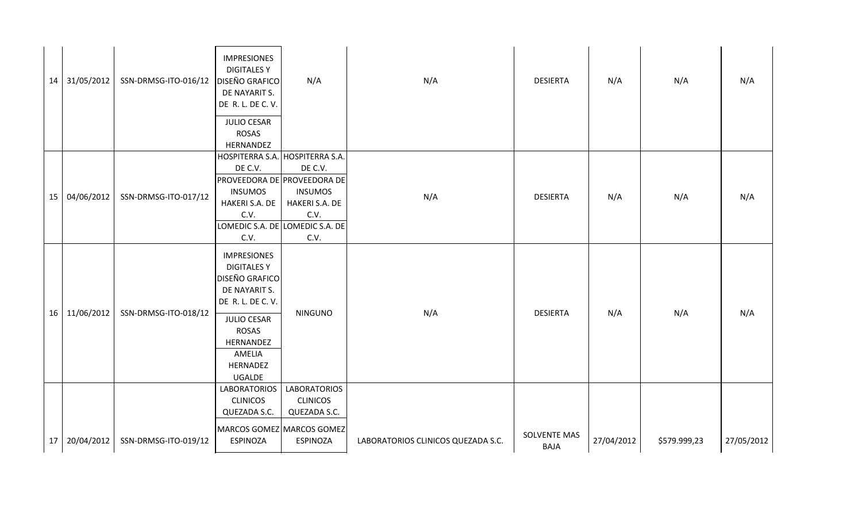|  | 14 31/05/2012 | SSN-DRMSG-ITO-016/12   DISEÑO GRAFICO | <b>IMPRESIONES</b><br><b>DIGITALES Y</b><br>DE NAYARIT S.<br>DE R. L. DE C. V.                                                                                                             | N/A                                                                                            | N/A                                | <b>DESIERTA</b>                    | N/A        | N/A          | N/A        |
|--|---------------|---------------------------------------|--------------------------------------------------------------------------------------------------------------------------------------------------------------------------------------------|------------------------------------------------------------------------------------------------|------------------------------------|------------------------------------|------------|--------------|------------|
|  |               |                                       | <b>JULIO CESAR</b><br><b>ROSAS</b><br>HERNANDEZ                                                                                                                                            |                                                                                                |                                    |                                    |            |              |            |
|  | 15 04/06/2012 | SSN-DRMSG-ITO-017/12                  | HOSPITERRA S.A. HOSPITERRA S.A.<br>DE C.V.<br>PROVEEDORA DE PROVEEDORA DE<br><b>INSUMOS</b><br>HAKERI S.A. DE<br>C.V.<br>C.V.                                                              | DE C.V.<br><b>INSUMOS</b><br>HAKERI S.A. DE<br>C.V.<br>LOMEDIC S.A. DE LOMEDIC S.A. DE<br>C.V. | N/A                                | <b>DESIERTA</b>                    | N/A        | N/A          | N/A        |
|  | 16 11/06/2012 | SSN-DRMSG-ITO-018/12                  | <b>IMPRESIONES</b><br><b>DIGITALES Y</b><br><b>DISEÑO GRAFICO</b><br>DE NAYARIT S.<br>DE R. L. DE C. V.<br><b>JULIO CESAR</b><br><b>ROSAS</b><br>HERNANDEZ<br>AMELIA<br>HERNADEZ<br>UGALDE | <b>NINGUNO</b>                                                                                 | N/A                                | <b>DESIERTA</b>                    | N/A        | N/A          | N/A        |
|  | 17 20/04/2012 | SSN-DRMSG-ITO-019/12                  | <b>LABORATORIOS</b><br><b>CLINICOS</b><br>QUEZADA S.C.<br>MARCOS GOMEZ MARCOS GOMEZ<br><b>ESPINOZA</b>                                                                                     | <b>LABORATORIOS</b><br><b>CLINICOS</b><br>QUEZADA S.C.<br><b>ESPINOZA</b>                      | LABORATORIOS CLINICOS QUEZADA S.C. | <b>SOLVENTE MAS</b><br><b>BAJA</b> | 27/04/2012 | \$579.999,23 | 27/05/2012 |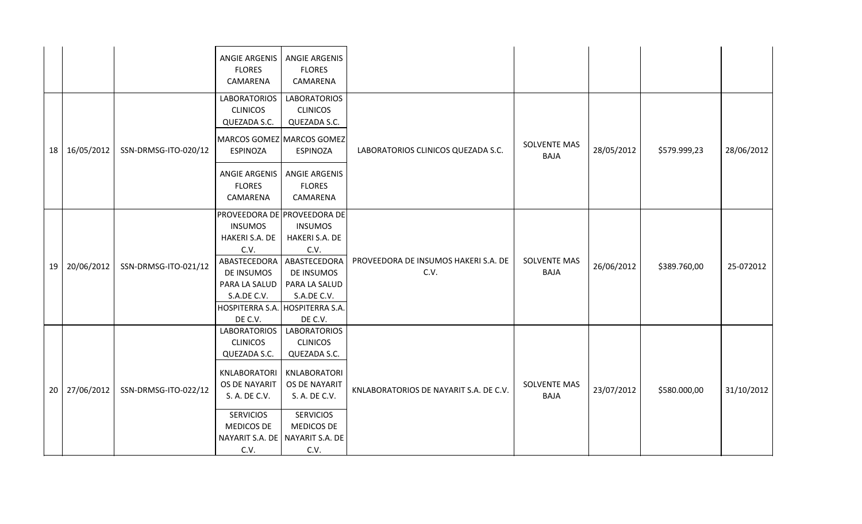|                 |            |                      | <b>ANGIE ARGENIS</b><br><b>FLORES</b><br>CAMARENA                                                                                                                            | <b>ANGIE ARGENIS</b><br><b>FLORES</b><br>CAMARENA                                                                                                                                   |                                              |                                    |            |              |            |
|-----------------|------------|----------------------|------------------------------------------------------------------------------------------------------------------------------------------------------------------------------|-------------------------------------------------------------------------------------------------------------------------------------------------------------------------------------|----------------------------------------------|------------------------------------|------------|--------------|------------|
|                 |            |                      | <b>LABORATORIOS</b><br><b>CLINICOS</b><br>QUEZADA S.C.                                                                                                                       | <b>LABORATORIOS</b><br><b>CLINICOS</b><br>QUEZADA S.C.                                                                                                                              |                                              |                                    |            |              |            |
| 18              | 16/05/2012 | SSN-DRMSG-ITO-020/12 | <b>ESPINOZA</b>                                                                                                                                                              | MARCOS GOMEZ MARCOS GOMEZ<br><b>ESPINOZA</b>                                                                                                                                        | LABORATORIOS CLINICOS QUEZADA S.C.           | <b>SOLVENTE MAS</b><br><b>BAJA</b> | 28/05/2012 | \$579.999,23 | 28/06/2012 |
|                 |            |                      | ANGIE ARGENIS<br><b>FLORES</b><br>CAMARENA                                                                                                                                   | <b>ANGIE ARGENIS</b><br><b>FLORES</b><br>CAMARENA                                                                                                                                   |                                              |                                    |            |              |            |
| 19              | 20/06/2012 | SSN-DRMSG-ITO-021/12 | <b>INSUMOS</b><br>HAKERI S.A. DE<br>C.V.<br>ABASTECEDORA<br>DE INSUMOS<br>PARA LA SALUD<br>S.A.DE C.V.<br>DE C.V.                                                            | PROVEEDORA DE PROVEEDORA DE<br><b>INSUMOS</b><br>HAKERI S.A. DE<br>C.V.<br>ABASTECEDORA<br>DE INSUMOS<br>PARA LA SALUD<br>S.A.DE C.V.<br>HOSPITERRA S.A. HOSPITERRA S.A.<br>DE C.V. | PROVEEDORA DE INSUMOS HAKERI S.A. DE<br>C.V. | <b>SOLVENTE MAS</b><br><b>BAJA</b> | 26/06/2012 | \$389.760,00 | 25-072012  |
| 20 <sup>1</sup> | 27/06/2012 | SSN-DRMSG-ITO-022/12 | <b>LABORATORIOS</b><br><b>CLINICOS</b><br>QUEZADA S.C.<br>KNLABORATORI<br><b>OS DE NAYARIT</b><br>S. A. DE C.V.<br><b>SERVICIOS</b><br>MEDICOS DE<br>NAYARIT S.A. DE<br>C.V. | <b>LABORATORIOS</b><br><b>CLINICOS</b><br>QUEZADA S.C.<br>KNLABORATORI<br>OS DE NAYARIT<br>S. A. DE C.V.<br><b>SERVICIOS</b><br>MEDICOS DE<br>NAYARIT S.A. DE<br>C.V.               | KNLABORATORIOS DE NAYARIT S.A. DE C.V.       | <b>SOLVENTE MAS</b><br><b>BAJA</b> | 23/07/2012 | \$580.000,00 | 31/10/2012 |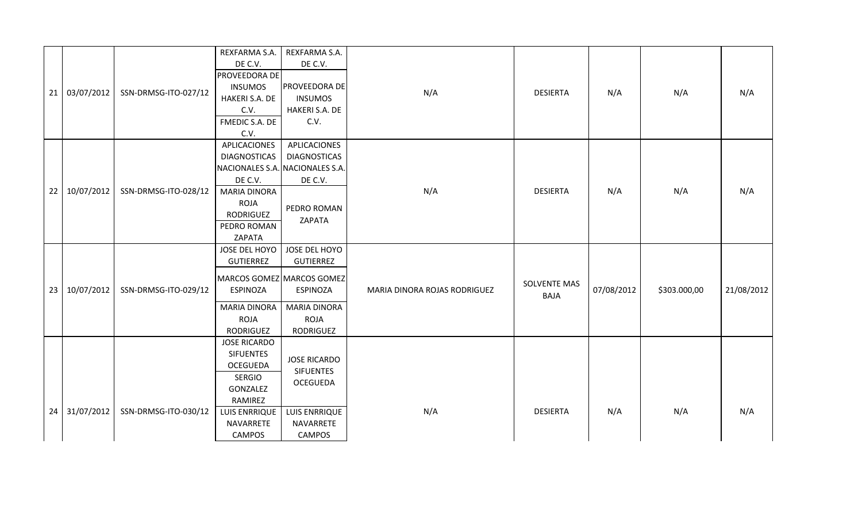|    | 21 03/07/2012 | SSN-DRMSG-ITO-027/12 | REXFARMA S.A.<br>DE C.V.<br>PROVEEDORA DE<br><b>INSUMOS</b><br>HAKERI S.A. DE<br>C.V.<br>FMEDIC S.A. DE<br>C.V.                                          | REXFARMA S.A.<br>DE C.V.<br>PROVEEDORA DE<br><b>INSUMOS</b><br>HAKERI S.A. DE<br>C.V.                                  | N/A                          | <b>DESIERTA</b>                    | N/A        | N/A          | N/A        |
|----|---------------|----------------------|----------------------------------------------------------------------------------------------------------------------------------------------------------|------------------------------------------------------------------------------------------------------------------------|------------------------------|------------------------------------|------------|--------------|------------|
| 22 | 10/07/2012    | SSN-DRMSG-ITO-028/12 | APLICACIONES<br><b>DIAGNOSTICAS</b><br>DE C.V.<br><b>MARIA DINORA</b><br>ROJA<br>RODRIGUEZ<br>PEDRO ROMAN<br>ZAPATA                                      | APLICACIONES<br><b>DIAGNOSTICAS</b><br>NACIONALES S.A. NACIONALES S.A.<br>DE C.V.<br>PEDRO ROMAN<br>ZAPATA             | N/A                          | <b>DESIERTA</b>                    | N/A        | N/A          | N/A        |
| 23 | 10/07/2012    | SSN-DRMSG-ITO-029/12 | JOSE DEL HOYO<br>GUTIERREZ<br><b>ESPINOZA</b><br><b>MARIA DINORA</b><br><b>ROJA</b><br>RODRIGUEZ                                                         | JOSE DEL HOYO<br>GUTIERREZ<br>MARCOS GOMEZ MARCOS GOMEZ<br><b>ESPINOZA</b><br><b>MARIA DINORA</b><br>ROJA<br>RODRIGUEZ | MARIA DINORA ROJAS RODRIGUEZ | <b>SOLVENTE MAS</b><br><b>BAJA</b> | 07/08/2012 | \$303.000,00 | 21/08/2012 |
|    | 24 31/07/2012 | SSN-DRMSG-ITO-030/12 | <b>JOSE RICARDO</b><br><b>SIFUENTES</b><br><b>OCEGUEDA</b><br><b>SERGIO</b><br>GONZALEZ<br>RAMIREZ<br><b>LUIS ENRRIQUE</b><br>NAVARRETE<br><b>CAMPOS</b> | <b>JOSE RICARDO</b><br><b>SIFUENTES</b><br><b>OCEGUEDA</b><br>LUIS ENRRIQUE<br>NAVARRETE<br><b>CAMPOS</b>              | N/A                          | <b>DESIERTA</b>                    | N/A        | N/A          | N/A        |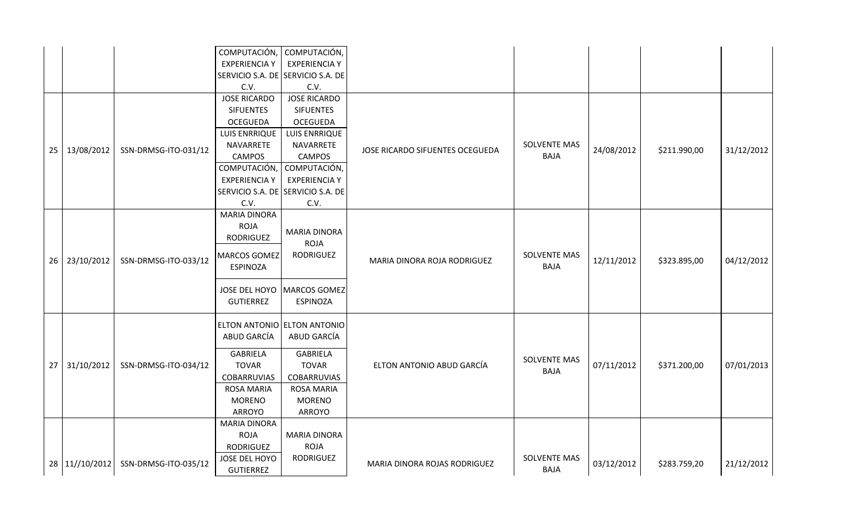|    |                |                      | COMPUTACIÓN,                      | COMPUTACIÓN,                      |                                 |                     |            |              |            |
|----|----------------|----------------------|-----------------------------------|-----------------------------------|---------------------------------|---------------------|------------|--------------|------------|
|    |                |                      | <b>EXPERIENCIA Y</b>              | <b>EXPERIENCIA Y</b>              |                                 |                     |            |              |            |
|    |                |                      |                                   | SERVICIO S.A. DE SERVICIO S.A. DE |                                 |                     |            |              |            |
|    |                |                      | C.V.                              | C.V.                              |                                 |                     |            |              |            |
|    |                |                      | <b>JOSE RICARDO</b>               | <b>JOSE RICARDO</b>               |                                 |                     |            |              |            |
|    |                |                      | <b>SIFUENTES</b>                  | <b>SIFUENTES</b>                  |                                 |                     |            |              |            |
|    |                |                      | <b>OCEGUEDA</b>                   | <b>OCEGUEDA</b>                   |                                 |                     |            |              |            |
|    |                |                      | <b>LUIS ENRRIQUE</b>              | LUIS ENRRIQUE                     |                                 |                     |            |              |            |
| 25 | 13/08/2012     | SSN-DRMSG-ITO-031/12 | NAVARRETE                         | NAVARRETE                         | JOSE RICARDO SIFUENTES OCEGUEDA | <b>SOLVENTE MAS</b> | 24/08/2012 | \$211.990,00 | 31/12/2012 |
|    |                |                      | <b>CAMPOS</b>                     | <b>CAMPOS</b>                     |                                 | <b>BAJA</b>         |            |              |            |
|    |                |                      | COMPUTACIÓN,                      | COMPUTACIÓN,                      |                                 |                     |            |              |            |
|    |                |                      | <b>EXPERIENCIA Y</b>              | <b>EXPERIENCIA Y</b>              |                                 |                     |            |              |            |
|    |                |                      | SERVICIO S.A. DE SERVICIO S.A. DE |                                   |                                 |                     |            |              |            |
|    |                |                      | C.V.                              | C.V.                              |                                 |                     |            |              |            |
|    |                |                      | <b>MARIA DINORA</b>               |                                   |                                 |                     |            |              |            |
|    |                |                      | <b>ROJA</b>                       | <b>MARIA DINORA</b>               |                                 |                     |            |              |            |
|    |                |                      | RODRIGUEZ                         | <b>ROJA</b>                       |                                 |                     |            |              |            |
|    |                |                      | <b>MARCOS GOMEZ</b>               | <b>RODRIGUEZ</b>                  |                                 | <b>SOLVENTE MAS</b> |            |              |            |
|    | 26 23/10/2012  | SSN-DRMSG-ITO-033/12 | ESPINOZA                          |                                   | MARIA DINORA ROJA RODRIGUEZ     | <b>BAJA</b>         | 12/11/2012 | \$323.895,00 | 04/12/2012 |
|    |                |                      |                                   |                                   |                                 |                     |            |              |            |
|    |                |                      |                                   | JOSE DEL HOYO   MARCOS GOMEZ      |                                 |                     |            |              |            |
|    |                |                      | <b>GUTIERREZ</b>                  | <b>ESPINOZA</b>                   |                                 |                     |            |              |            |
|    |                |                      |                                   |                                   |                                 |                     |            |              |            |
|    |                |                      | ELTON ANTONIO ELTON ANTONIO       |                                   |                                 |                     |            |              |            |
|    |                |                      | ABUD GARCÍA                       | ABUD GARCÍA                       |                                 |                     |            |              |            |
|    |                |                      | <b>GABRIELA</b>                   | <b>GABRIELA</b>                   |                                 |                     |            |              |            |
| 27 | 31/10/2012     | SSN-DRMSG-ITO-034/12 | <b>TOVAR</b>                      | <b>TOVAR</b>                      | ELTON ANTONIO ABUD GARCÍA       | <b>SOLVENTE MAS</b> | 07/11/2012 | \$371.200,00 | 07/01/2013 |
|    |                |                      | <b>COBARRUVIAS</b>                | <b>COBARRUVIAS</b>                |                                 | <b>BAJA</b>         |            |              |            |
|    |                |                      | <b>ROSA MARIA</b>                 | <b>ROSA MARIA</b>                 |                                 |                     |            |              |            |
|    |                |                      | <b>MORENO</b>                     | <b>MORENO</b>                     |                                 |                     |            |              |            |
|    |                |                      | ARROYO                            | ARROYO                            |                                 |                     |            |              |            |
|    |                |                      | <b>MARIA DINORA</b>               |                                   |                                 |                     |            |              |            |
|    |                |                      | <b>ROJA</b>                       | <b>MARIA DINORA</b>               |                                 |                     |            |              |            |
|    |                |                      | <b>RODRIGUEZ</b>                  | <b>ROJA</b>                       |                                 |                     |            |              |            |
|    |                |                      | JOSE DEL HOYO                     | <b>RODRIGUEZ</b>                  |                                 | <b>SOLVENTE MAS</b> |            |              |            |
|    | 28 11//10/2012 | SSN-DRMSG-ITO-035/12 | <b>GUTIERREZ</b>                  |                                   | MARIA DINORA ROJAS RODRIGUEZ    | <b>BAJA</b>         | 03/12/2012 | \$283.759,20 | 21/12/2012 |
|    |                |                      |                                   |                                   |                                 |                     |            |              |            |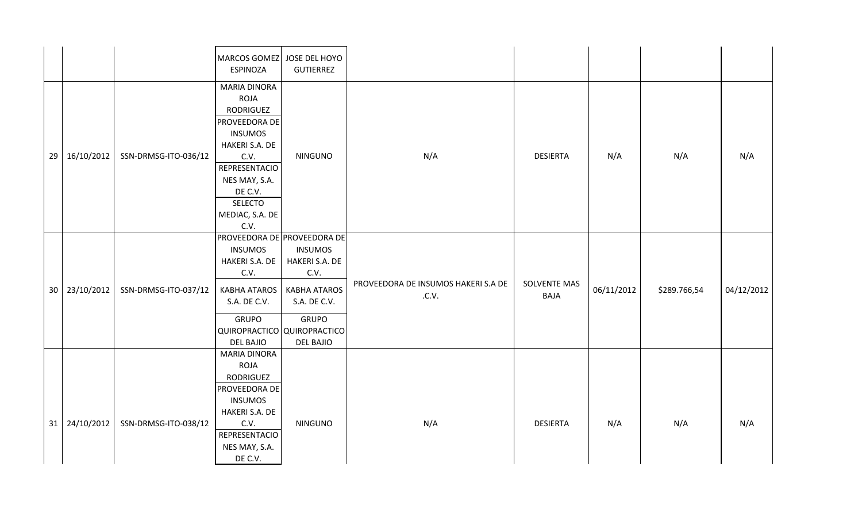|    |               |                      | MARCOS GOMEZ JOSE DEL HOYO<br><b>ESPINOZA</b>                                                                                                                                                                 | <b>GUTIERREZ</b>                                                                                                    |                                              |                                    |            |              |            |
|----|---------------|----------------------|---------------------------------------------------------------------------------------------------------------------------------------------------------------------------------------------------------------|---------------------------------------------------------------------------------------------------------------------|----------------------------------------------|------------------------------------|------------|--------------|------------|
| 29 | 16/10/2012    | SSN-DRMSG-ITO-036/12 | <b>MARIA DINORA</b><br><b>ROJA</b><br>RODRIGUEZ<br>PROVEEDORA DE<br><b>INSUMOS</b><br>HAKERI S.A. DE<br>C.V.<br><b>REPRESENTACIO</b><br>NES MAY, S.A.<br>DE C.V.<br><b>SELECTO</b><br>MEDIAC, S.A. DE<br>C.V. | <b>NINGUNO</b>                                                                                                      | N/A                                          | <b>DESIERTA</b>                    | N/A        | N/A          | N/A        |
|    | 30 23/10/2012 | SSN-DRMSG-ITO-037/12 | PROVEEDORA DE PROVEEDORA DE<br><b>INSUMOS</b><br>HAKERI S.A. DE<br>C.V.<br><b>KABHA ATAROS</b><br>S.A. DE C.V.<br><b>GRUPO</b><br>QUIROPRACTICO QUIROPRACTICO<br><b>DEL BAJIO</b>                             | <b>INSUMOS</b><br>HAKERI S.A. DE<br>C.V.<br><b>KABHA ATAROS</b><br>S.A. DE C.V.<br><b>GRUPO</b><br><b>DEL BAJIO</b> | PROVEEDORA DE INSUMOS HAKERI S.A DE<br>.C.V. | <b>SOLVENTE MAS</b><br><b>BAJA</b> | 06/11/2012 | \$289.766,54 | 04/12/2012 |
|    | 31 24/10/2012 | SSN-DRMSG-ITO-038/12 | <b>MARIA DINORA</b><br><b>ROJA</b><br>RODRIGUEZ<br>PROVEEDORA DE<br><b>INSUMOS</b><br>HAKERI S.A. DE<br>C.V.<br>REPRESENTACIO<br>NES MAY, S.A.<br>DE C.V.                                                     | <b>NINGUNO</b>                                                                                                      | N/A                                          | <b>DESIERTA</b>                    | N/A        | N/A          | N/A        |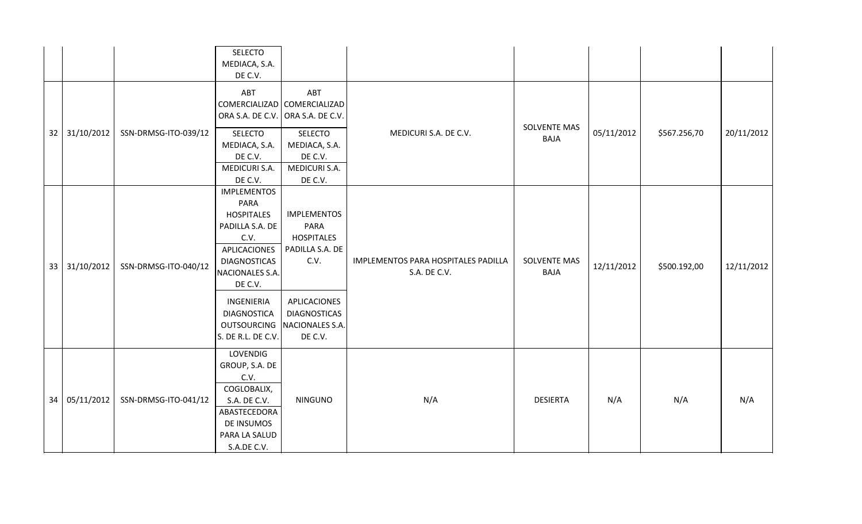|    |               |                      | SELECTO<br>MEDIACA, S.A.<br>DE C.V.                                                                                                                                      |                                                                                                         |                                                     |                                    |            |              |            |
|----|---------------|----------------------|--------------------------------------------------------------------------------------------------------------------------------------------------------------------------|---------------------------------------------------------------------------------------------------------|-----------------------------------------------------|------------------------------------|------------|--------------|------------|
| 32 | 31/10/2012    | SSN-DRMSG-ITO-039/12 | ABT<br>COMERCIALIZAD<br>ORA S.A. DE C.V.<br>SELECTO<br>MEDIACA, S.A.<br>DE C.V.<br><b>MEDICURI S.A.</b>                                                                  | ABT<br>COMERCIALIZAD<br>ORA S.A. DE C.V.<br><b>SELECTO</b><br>MEDIACA, S.A.<br>DE C.V.<br>MEDICURI S.A. | MEDICURI S.A. DE C.V.                               | <b>SOLVENTE MAS</b><br><b>BAJA</b> | 05/11/2012 | \$567.256,70 | 20/11/2012 |
| 33 | 31/10/2012    | SSN-DRMSG-ITO-040/12 | DE C.V.<br><b>IMPLEMENTOS</b><br><b>PARA</b><br><b>HOSPITALES</b><br>PADILLA S.A. DE<br>C.V.<br><b>APLICACIONES</b><br><b>DIAGNOSTICAS</b><br>NACIONALES S.A.<br>DE C.V. | DE C.V.<br><b>IMPLEMENTOS</b><br>PARA<br><b>HOSPITALES</b><br>PADILLA S.A. DE<br>C.V.                   | IMPLEMENTOS PARA HOSPITALES PADILLA<br>S.A. DE C.V. | <b>SOLVENTE MAS</b><br><b>BAJA</b> | 12/11/2012 | \$500.192,00 | 12/11/2012 |
|    |               |                      | INGENIERIA<br><b>DIAGNOSTICA</b><br><b>OUTSOURCING</b><br>S. DE R.L. DE C.V.                                                                                             | APLICACIONES<br><b>DIAGNOSTICAS</b><br>NACIONALES S.A.<br>DE C.V.                                       |                                                     |                                    |            |              |            |
|    | 34 05/11/2012 | SSN-DRMSG-ITO-041/12 | LOVENDIG<br>GROUP, S.A. DE<br>C.V.<br>COGLOBALIX,<br>S.A. DE C.V.<br>ABASTECEDORA<br>DE INSUMOS<br>PARA LA SALUD<br>S.A.DE C.V.                                          | <b>NINGUNO</b>                                                                                          | N/A                                                 | <b>DESIERTA</b>                    | N/A        | N/A          | N/A        |